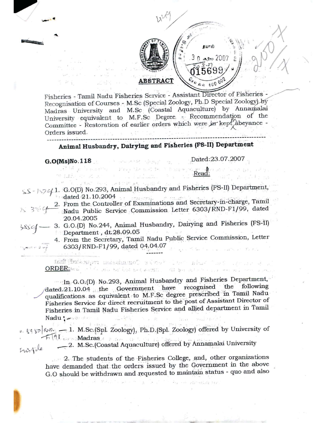

Fisheries - Tamil Nadu Fisheries Service - Assistant Director of Fisheries -Recognisation of Courses - M.Sc (Special Zoology, Ph.D Special Zoology) by Madras University and M.Sc (Coastal Aquaculture) by Annamalai University equivalent to M.F.Sc Degree - Recommendation of the Committee - Restoration of earlier orders which were in kept abeyance -.<br>Die Stein F Orders issued. 285 年 九

# Animal Husbandry, Dairying and Fisheries (FS-II) Department

ne i s

G.O(Ms)No.118 Dated:23.07.2007

## . Pod solutions in the company of the company of the second company of the second company of the second company of the second company of the second company of the second company of the second company of the second company municipal construction of the property of the second property of the second property of the second property of <br>And the second property of the second property of the second property of the second property of the second pro

malue day

ha i sa bol atan s SS-15741. G.O(D) No.293, Animal Husbandry and Fisheries (FS-II) Department,  $\ddot{\text{4}}$  dated 21.10.2004

2. From the Controller of Examinations and Secretary-in-charge, Tamil Nadu Public Service Commission Letter 6303/RND-F1/99, dated 20.04.2005

- 3. G.O.(D) No.244, Animal Husbandry, Dairying and Fisheries (FS-II) Department, dt.28.09.05

4. From the Secretary, Tamil Nadu Public Service Commission, Letter 6303/RND-F1/99, dated 04,04.07 London and a state of the U.S.

มีอีกใช้อย่องและนายและอ่อนแนดปี ธรัตร? ประกามประการและ เกาะเรา สำหรั ORDER: and the second of the second with the second compared

In G.O.(D) No.293, Animal Husbandry and Fisheries Department, dated.21.10.04 the Government have recognised the following qualifications as equivalent to M.F.Sc degree prescribed in Tamil Nadu Fisheries Service for direct recruitment to the post of Assistant Director of Fisheries in Tamil Nadu Fisheries Service and allied department in Tamil **Nadu! میں مطر**  $\frac{\partial}{\partial x^2} = \frac{\partial}{\partial x^2} \frac{\partial}{\partial x^2} \frac{\partial}{\partial x^2}$ "可以说

6. (450 RM) - 1. M.Sc.(Spl. Zoology), Ph.D.(Spl. Zoology) offered by University of FILL Madras -2. M.Sc.(Coastal Aquaculture) offered by Annamalai University histile

2. The students of the Fisheries College, and, other organizations have demanded that the orders issued by the Government in the above G.O should be withdrawn and requested to maintain status - quo and also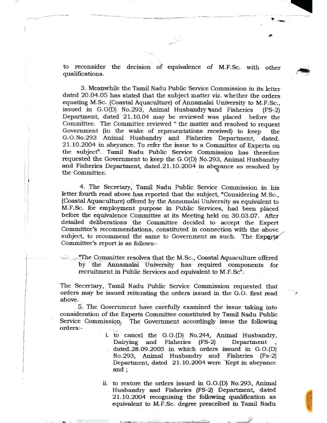to reconsider the decision of- equivalence of M.F.Sc. with other qualifications.

,.' .-

--. --.\_- -\_.- • - <sup>~</sup>--- ----'--.,,-...•

 $\mathcal{L}$ 

~

 $\frac{1}{2}$  , and the contribution of  $\mathcal{L}$ 

I I ! I i I  $\vert \cdot \vert$ 

 $\qquad \qquad$ i,, !

,  $\begin{array}{c} \begin{array}{c} \begin{array}{c} \begin{array}{c} \end{array} \\ \begin{array}{c} \end{array} \\ \begin{array}{c} \end{array} \end{array} \end{array}$ f

,

*f.* I

I

w- , which in the case of the set

3. Meanwhile the Tamil Nadu Public Service Commission in its letter dated 20.04.05 has stated that the subject matter viz. whether the orders equating M.Sc.(Coastal Aquaculture) of Annamalai University to M.F.Sc., issued in  $G.O(D)$  No.293, Animal Husbandry  $\mathbb{R}$ and Fisheries (FS-2) Department, dated '21.10.04 may be reviewed was placed before the Committee. The Committee reviewed " the matter and resolved to request Govemnient (in the wake of representations received) to keep the G.O.No.293 Animal Husbandry and Fisheries Department, dated. 21.10.2004 in abeyance. To refer the issue to a Committee of Experts on the subject". Tamil Nadu Public' Service Commission has therefore requested the Government to keep the G.O(D) No.293, Animal Husbandry and Fisheries Department, dated.21.10.2004 in abeyance as resolved by the Committee.

4. The Secretary, Tamil Nadu Public Service Commission in his letter fourth read above has reported that the subject, "Considering M.Sc., (Coastal Aquaculture) offered by the Annamalai University as equivalent to M.F.Sc. for employment purpose in Public Services, had been placed before the equivalence Committee at its Meeting held on 30.03.07. After detailed deliberations the Committee decided to accept the Expert Committee's recommendations, constituted in connection with the above subject, to recommend the same to Government as such. The Exports Committee's report is as follows:-

The Committee resolves that the M.Sc., Coastal Aquaculture offered •• by the Annamalai University has required components for recruitment in Public Services and equivalent to M.F.Sc".

The Secretary, Tamil Nadu Public Service Commission requested that orders may be issued reiterating the, orders issued in the G.O. first read above.

 $5.$  The Government have carefully examined the issue taking into consideration of the Experts Committee constituted by Tamil Nadu Public Service Commission. The Government accordingly issue the following orders:-

> i. to cancel the G.O.(D) No.244, Animal Husbandry, Dairying and Fisheries (FS-2) Department dated.28.09.2005 in which orders issued in G.O.(D) No.293, Animal Husbandry and Fisheries '(Fs-2) Department, dated 21.10.2004 were 'Kept in abeyance and;

ii. to restore the orders issued in  $G.O.(D)$  No.293, Animal Husbandry and Fisheries (FS-2) Department, dated 21.10.2004 recognising the following qualification as equivalent to M.F.Sc. degree prescnbed in Tamil Nadu